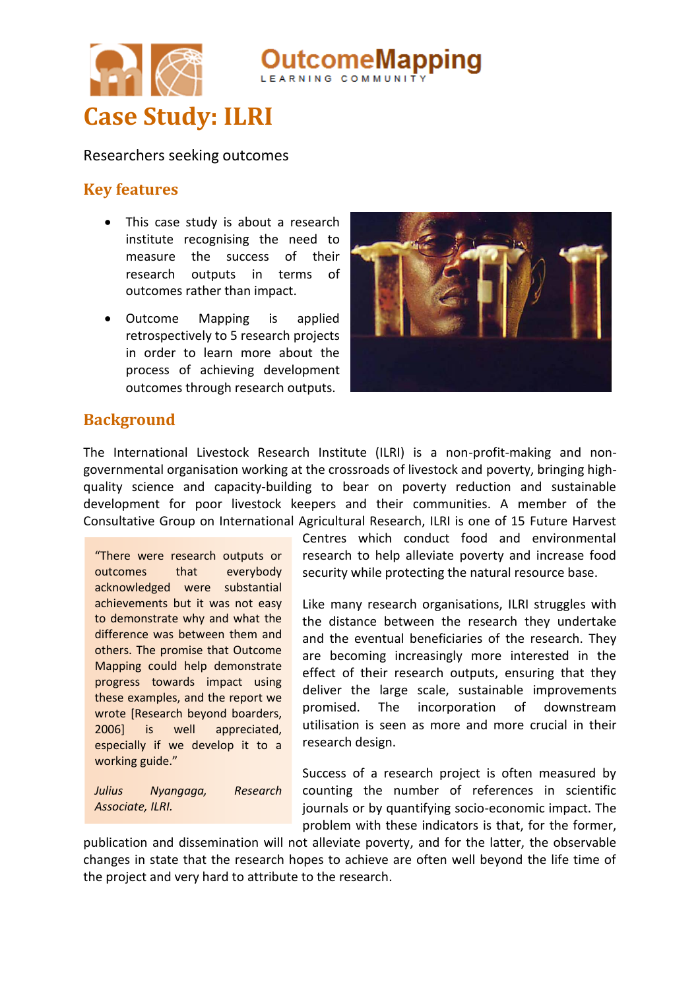

Researchers seeking outcomes

### **Key features**

- This case study is about a research institute recognising the need to measure the success of their research outputs in terms of outcomes rather than impact.
- Outcome Mapping is applied retrospectively to 5 research projects in order to learn more about the process of achieving development outcomes through research outputs.



**eMapping** 

## **Background**

The International Livestock Research Institute (ILRI) is a non-profit-making and nongovernmental organisation working at the crossroads of livestock and poverty, bringing highquality science and capacity-building to bear on poverty reduction and sustainable development for poor livestock keepers and their communities. A member of the Consultative Group on International Agricultural Research, ILRI is one of 15 Future Harvest

"There were research outputs or outcomes that everybody acknowledged were substantial achievements but it was not easy to demonstrate why and what the difference was between them and others. The promise that Outcome Mapping could help demonstrate progress towards impact using these examples, and the report we wrote [Research beyond boarders, 2006] is well appreciated, especially if we develop it to a working guide."

*Julius Nyangaga, Research Associate, ILRI.*

Centres which conduct food and environmental research to help alleviate poverty and increase food security while protecting the natural resource base.

Like many research organisations, ILRI struggles with the distance between the research they undertake and the eventual beneficiaries of the research. They are becoming increasingly more interested in the effect of their research outputs, ensuring that they deliver the large scale, sustainable improvements promised. The incorporation of downstream utilisation is seen as more and more crucial in their research design.

Success of a research project is often measured by counting the number of references in scientific journals or by quantifying socio-economic impact. The problem with these indicators is that, for the former,

publication and dissemination will not alleviate poverty, and for the latter, the observable changes in state that the research hopes to achieve are often well beyond the life time of the project and very hard to attribute to the research.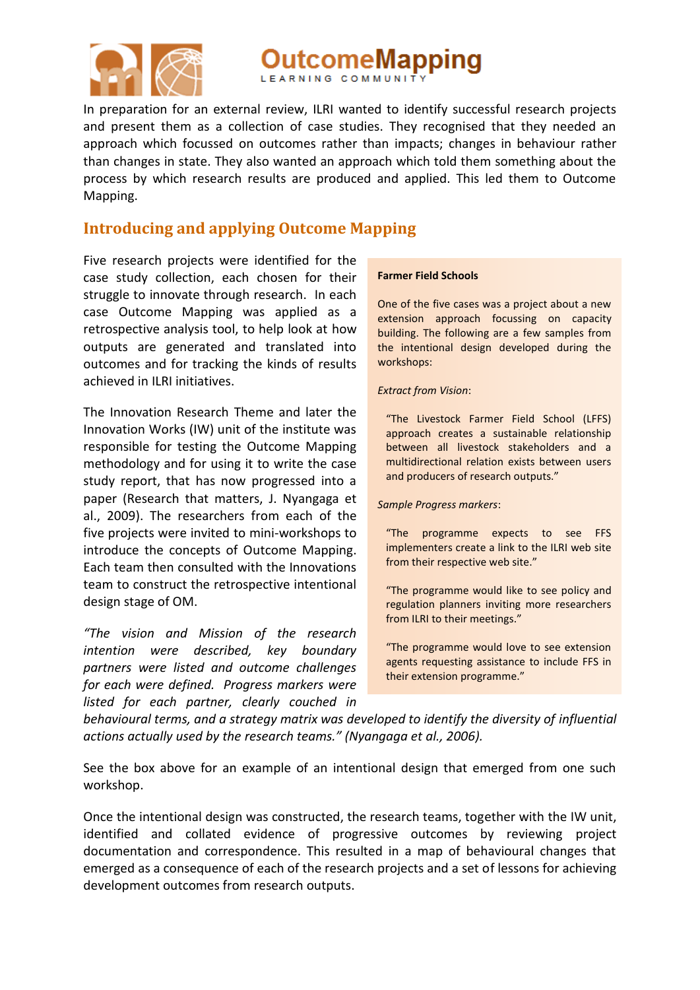

utcomeMapping

In preparation for an external review, ILRI wanted to identify successful research projects and present them as a collection of case studies. They recognised that they needed an approach which focussed on outcomes rather than impacts; changes in behaviour rather than changes in state. They also wanted an approach which told them something about the process by which research results are produced and applied. This led them to Outcome Mapping.

# **Introducing and applying Outcome Mapping**

Five research projects were identified for the case study collection, each chosen for their struggle to innovate through research. In each case Outcome Mapping was applied as a retrospective analysis tool, to help look at how outputs are generated and translated into outcomes and for tracking the kinds of results achieved in ILRI initiatives.

The Innovation Research Theme and later the Innovation Works (IW) unit of the institute was responsible for testing the Outcome Mapping methodology and for using it to write the case study report, that has now progressed into a paper (Research that matters, J. Nyangaga et al., 2009). The researchers from each of the five projects were invited to mini-workshops to introduce the concepts of Outcome Mapping. Each team then consulted with the Innovations team to construct the retrospective intentional design stage of OM.

*"The vision and Mission of the research intention were described, key boundary partners were listed and outcome challenges for each were defined. Progress markers were listed for each partner, clearly couched in* 

### **Farmer Field Schools**

One of the five cases was a project about a new extension approach focussing on capacity building. The following are a few samples from the intentional design developed during the workshops:

### *Extract from Vision*:

"The Livestock Farmer Field School (LFFS) approach creates a sustainable relationship between all livestock stakeholders and a multidirectional relation exists between users and producers of research outputs."

#### *Sample Progress markers*:

"The programme expects to see FFS implementers create a link to the ILRI web site from their respective web site."

"The programme would like to see policy and regulation planners inviting more researchers from ILRI to their meetings."

"The programme would love to see extension agents requesting assistance to include FFS in their extension programme."

*behavioural terms, and a strategy matrix was developed to identify the diversity of influential actions actually used by the research teams." (Nyangaga et al., 2006).*

See the box above for an example of an intentional design that emerged from one such workshop.

Once the intentional design was constructed, the research teams, together with the IW unit, identified and collated evidence of progressive outcomes by reviewing project documentation and correspondence. This resulted in a map of behavioural changes that emerged as a consequence of each of the research projects and a set of lessons for achieving development outcomes from research outputs.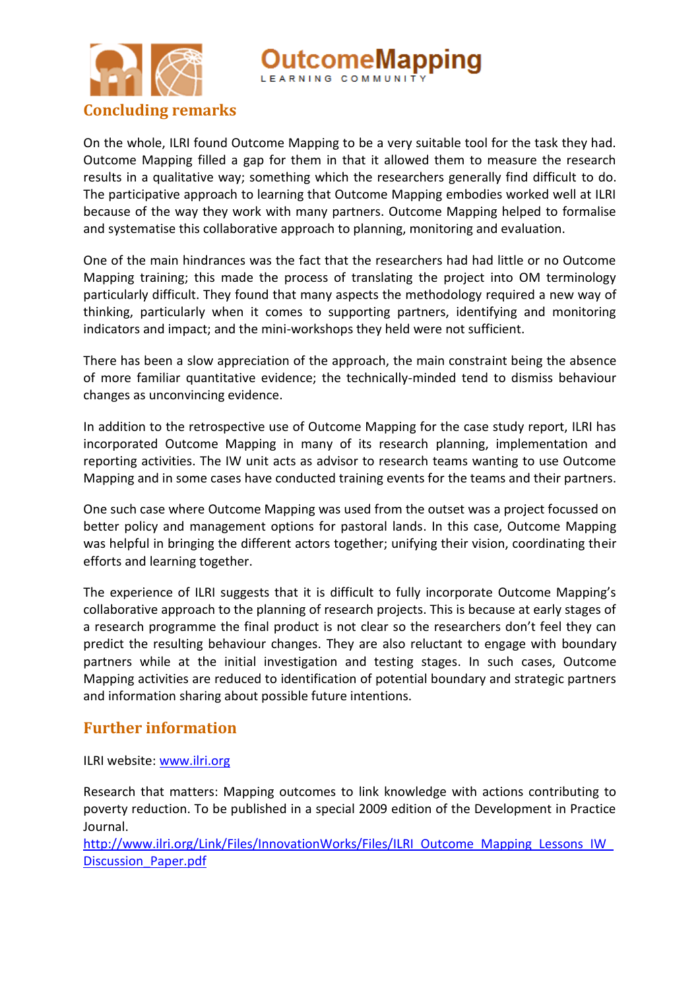



On the whole, ILRI found Outcome Mapping to be a very suitable tool for the task they had. Outcome Mapping filled a gap for them in that it allowed them to measure the research results in a qualitative way; something which the researchers generally find difficult to do. The participative approach to learning that Outcome Mapping embodies worked well at ILRI because of the way they work with many partners. Outcome Mapping helped to formalise and systematise this collaborative approach to planning, monitoring and evaluation.

One of the main hindrances was the fact that the researchers had had little or no Outcome Mapping training; this made the process of translating the project into OM terminology particularly difficult. They found that many aspects the methodology required a new way of thinking, particularly when it comes to supporting partners, identifying and monitoring indicators and impact; and the mini-workshops they held were not sufficient.

There has been a slow appreciation of the approach, the main constraint being the absence of more familiar quantitative evidence; the technically-minded tend to dismiss behaviour changes as unconvincing evidence.

In addition to the retrospective use of Outcome Mapping for the case study report, ILRI has incorporated Outcome Mapping in many of its research planning, implementation and reporting activities. The IW unit acts as advisor to research teams wanting to use Outcome Mapping and in some cases have conducted training events for the teams and their partners.

One such case where Outcome Mapping was used from the outset was a project focussed on better policy and management options for pastoral lands. In this case, Outcome Mapping was helpful in bringing the different actors together; unifying their vision, coordinating their efforts and learning together.

The experience of ILRI suggests that it is difficult to fully incorporate Outcome Mapping's collaborative approach to the planning of research projects. This is because at early stages of a research programme the final product is not clear so the researchers don't feel they can predict the resulting behaviour changes. They are also reluctant to engage with boundary partners while at the initial investigation and testing stages. In such cases, Outcome Mapping activities are reduced to identification of potential boundary and strategic partners and information sharing about possible future intentions.

## **Further information**

ILRI website: [www.ilri.org](http://www.ilri.org/)

Research that matters: Mapping outcomes to link knowledge with actions contributing to poverty reduction. To be published in a special 2009 edition of the Development in Practice Journal.

http://www.ilri.org/Link/Files/InnovationWorks/Files/ILRI\_Outcome\_Mapping\_Lessons\_IW [Discussion\\_Paper.pdf](http://www.ilri.org/Link/Files/InnovationWorks/Files/ILRI_Outcome_Mapping_Lessons_IW_Discussion_Paper.pdf)